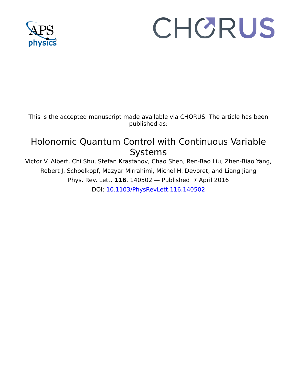

## CHORUS

This is the accepted manuscript made available via CHORUS. The article has been published as:

## Holonomic Quantum Control with Continuous Variable Systems

Victor V. Albert, Chi Shu, Stefan Krastanov, Chao Shen, Ren-Bao Liu, Zhen-Biao Yang, Robert J. Schoelkopf, Mazyar Mirrahimi, Michel H. Devoret, and Liang Jiang Phys. Rev. Lett. **116**, 140502 — Published 7 April 2016 DOI: [10.1103/PhysRevLett.116.140502](http://dx.doi.org/10.1103/PhysRevLett.116.140502)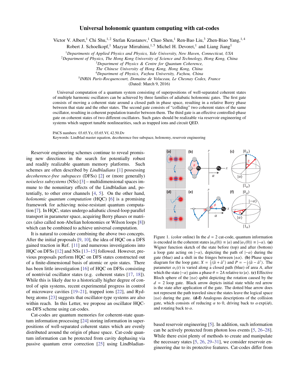## Universal holonomic quantum computing with cat-codes

Victor V. Albert,<sup>1</sup> Chi Shu,<sup>1,2</sup> Stefan Krastanov,<sup>1</sup> Chao Shen,<sup>1</sup> Ren-Bao Liu,<sup>3</sup> Zhen-Biao Yang,<sup>1,4</sup>

Robert J. Schoelkopf,<sup>1</sup> Mazyar Mirrahimi,<sup>1,5</sup> Michel H. Devoret,<sup>1</sup> and Liang Jiang<sup>1</sup>

<sup>1</sup>*Departments of Applied Physics and Physics, Yale University, New Haven, Connecticut, USA*

<sup>2</sup>*Department of Physics, The Hong Kong University of Science and Technology, Hong Kong, China*

- <sup>3</sup>*Department of Physics & Centre for Quantum Coherence,*
- *The Chinese University of Hong Kong, Hong Kong, China*

<sup>4</sup>*Department of Physics, Fuzhou University, Fuzhou, China*

5 *INRIA Paris-Rocquencourt, Domaine de Voluceau, Le Chesnay Cedex, France*

(Dated: March 9, 2016)

Universal computation of a quantum system consisting of superpositions of well-separated coherent states of multiple harmonic oscillators can be achieved by three families of adiabatic holonomic gates. The first gate consists of moving a coherent state around a closed path in phase space, resulting in a relative Berry phase between that state and the other states. The second gate consists of "colliding" two coherent states of the same oscillator, resulting in coherent population transfer between them. The third gate is an effective controlled-phase gate on coherent states of two different oscillators. Such gates should be realizable via reservoir engineering of systems which support tunable nonlinearities, such as trapped ions and circuit QED.

PACS numbers: 03.65.Yz, 03.65.Vf, 42.50.Dv

Keywords: Lindblad master equation, decoherence free subspace, holonomy, reservoir engineering

Reservoir engineering schemes continue to reveal promising new directions in the search for potentially robust and readily realizable quantum memory platforms. Such schemes are often described by *Lindbladians* [\[1\]](#page-4-0) possessing *decoherence-free subspaces* (DFSs) [\[2\]](#page-4-1) or (more generally) *noiseless subsystems* (NSs) [\[3\]](#page-4-2) – multidimensional spaces immune to the nonunitary effects of the Lindbladian and, potentially, to other error channels [\[4,](#page-4-3) [5\]](#page-4-4). On the other hand, *holonomic quantum computation* (HQC) [\[6\]](#page-4-5) is a promising framework for achieving noise-resistant quantum computation [\[7\]](#page-4-6). In HQC, states undergo adiabatic closed-loop parallel transport in parameter space, acquiring Berry phases or matrices (also called non-Abelian holonomies or Wilson loops [\[8\]](#page-4-7)) which can be combined to achieve universal computation.

It is natural to consider combining the above two concepts. After the initial proposals [\[9,](#page-4-8) [10\]](#page-4-9), the idea of HQC on a DFS gained traction in Ref. [\[11\]](#page-4-10) and numerous investigations into HQC on DFSs [\[12\]](#page-4-11) and NSs [\[13–](#page-4-12)[15\]](#page-4-13) followed. However, previous proposals perform HQC on DFS states constructed out of a finite-dimensional basis of atomic or *spin* states. There has been little investigation [\[16\]](#page-5-0) of HQC on DFSs consisting of nontrivial oscillator states (e.g. coherent states [\[17,](#page-5-1) [18\]](#page-5-2)). While this is likely due to a historically higher degree of control of spin systems, recent experimental progress in control of microwave cavities [\[19](#page-5-3)[–21\]](#page-5-4), trapped ions [\[22\]](#page-5-5), and Rydberg atoms [\[23\]](#page-5-6) suggests that oscillator-type systems are also within reach. In this Letter, we propose an oscillator HQCon-DFS scheme using cat-codes.

Cat-codes are quantum memories for coherent-state quantum information processing [\[24\]](#page-5-7) storing information in superpositions of well-separated coherent states which are evenly distributed around the origin of phase space. Cat-code quantum information can be protected from cavity dephasing via passive quantum error correction [\[25\]](#page-5-8) using Lindbladian-



<span id="page-1-0"></span>Figure 1. (color online) In the  $d = 2$  cat-code, quantum information is encoded in the coherent states  $|\alpha_0(0)\rangle \equiv |\alpha\rangle$  and  $|\alpha_1(0)\rangle \equiv |-\alpha\rangle$ . (a) Wigner function sketch of the state before (top) and after (bottom) a loop gate acting on  $|-\alpha\rangle$ , depicting the path of  $|-\alpha\rangle$  during the gate (blue) and a shift in the fringes between  $|\pm \alpha\rangle$ . (b) Phase space diagram for the loop gate;  $X = \frac{1}{2} \langle \hat{a} + \hat{a}^{\dagger} \rangle$  and  $P = -\frac{i}{2} \langle \hat{a} - \hat{a}^{\dagger} \rangle$ . The parameter  $\alpha_1(t)$  is varied along a closed path (blue) of area *A*, after which the state  $|-\alpha\rangle$  gains a phase  $\theta = 2A$  relative to  $|\alpha\rangle$ . (c) Effective Bloch sphere of the  $|\pm \alpha\rangle$  qubit depicting the rotation caused by the  $d = 2$  loop gate. Black arrow depicts initial state while red arrow is the state after application of the gate. The dotted blue arrow does not represent the path traveled since the states leave the logical space  $|\pm\alpha\rangle$  during the gate. (d-f) Analogous descriptions of the collision gate, which consists of reducing  $\alpha$  to 0, driving back to  $\alpha \exp(i\phi)$ , and rotating back to  $\alpha$ .

based reservoir engineering [\[5\]](#page-4-4). In addition, such information can be actively protected from photon loss events [\[5,](#page-4-4) [26](#page-5-9)[–28\]](#page-5-10). While there exist plenty of methods to create and manipulate the necessary states [\[5,](#page-4-4) [26,](#page-5-9) [29–](#page-5-11)[31\]](#page-5-12), we consider reservoir engineering due to its protective features. Cat-codes differ from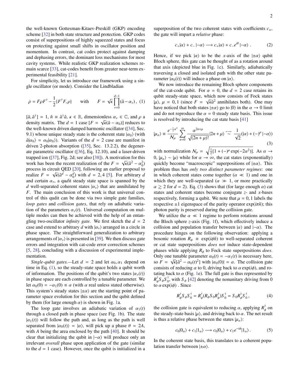the well-known Gottesman-Kitaev-Preskill (GKP) encoding scheme [\[32\]](#page-5-13) in both state structure and protection. GKP codes consist of superpositions of highly squeezed states and focus on protecting against small shifts in oscillator position and momentum. In contrast, cat codes protect against damping and dephasing errors, the dominant loss mechanisms for most cavity systems. While realistic GKP realization schemes remain scarce [\[33\]](#page-5-14), cat-codes benefit from greater near-term experimental feasibility [\[21\]](#page-5-4).

For simplicity, let us introduce our framework using a single oscillator (or mode). Consider the Lindbladian

<span id="page-2-0"></span>
$$
\dot{\rho} = F\rho F^{\dagger} - \frac{1}{2} \{ F^{\dagger} F, \rho \} \quad \text{with} \quad F = \sqrt{\kappa} \prod_{\nu=0}^{d-1} (\hat{a} - \alpha_{\nu}), \tag{1}
$$

 $[\hat{a}, \hat{a}^{\dagger}] = 1$ ,  $\hat{n} \equiv \hat{a}^{\dagger} \hat{a}$ ,  $\kappa \in \mathbb{R}$ , dimensionless  $\alpha_{\nu} \in \mathbb{C}$ , and  $\rho$  a density matrix. The  $d - 1$  case  $[F - \sqrt{\kappa}(\hat{a} - \alpha_{\nu})]$  reduces to density matrix. The  $d = 1$  case  $[F = \sqrt{\kappa}(\hat{a} - \alpha_0)]$  reduces to the well-known driven damned harmonic oscillator (1341, Sec. the well-known driven damped harmonic oscillator ([\[34\]](#page-5-15), Sec. 9.1) whose unique steady state is the coherent state  $|\alpha_0\rangle$  (with  $\hat{a}|\alpha_0\rangle = \alpha_0|\alpha_0\rangle$ . Variants of the  $d = 2$  case are manifest in driven 2-photon absorption ([\[35\]](#page-5-16), Sec. 13.2.2), the degenerate parametric oscillator ([\[36\]](#page-5-17), Eq. 12.10), and a laser-driven trapped ion ([\[37\]](#page-5-18), Fig. 2d; see also [\[38\]](#page-5-19)). A motivation for this work has been the recent realization of the  $F = \sqrt{\kappa}(\hat{a}^2 - \alpha_0^2)$ <br>process in circuit OED [20], following an earlier proposal to process in circuit QED [\[20\]](#page-5-20), following an earlier proposal to realize  $F = \sqrt{\kappa}(\hat{a}^d - \alpha_0^d)$  with  $d = 2, 4$  [\[5\]](#page-4-4). For arbitrary *d*<br>and certain  $\alpha$ , a quodit steady state space is spanned by the and certain  $\alpha_{\nu}$ , a qu*d* it steady state space is spanned by the *d* well-separated coherent states  $|\alpha_v\rangle$  that are annihilated by *F*. The main conclusion of this work is that universal control of this qudit can be done via two simple gate families, *loop gates* and *collision gates*, that rely on adiabatic variation of the parameters  $\alpha_{\nu}(t)$ . Universal computation on multiple modes can then be achieved with the help of an entangling two-oscillator *infinity gate*. We first sketch the  $d = 2$ case and extend to arbitrary *d* with  $|\alpha_v\rangle$  arranged in a circle in phase space. The straightforward generalization to arbitrary arrangements of  $|\alpha_v\rangle$  is presented in [\[39\]](#page-5-21). We then discuss gate errors and integration with cat-code error correction schemes [\[5,](#page-4-4) [28\]](#page-5-10), concluding with a discussion of experimental implementation.

*Single-qubit gates.*—Let  $d = 2$  and let  $\alpha_0, \alpha_1$  depend on time in Eq. [\(1\)](#page-2-0), so the steady-state space holds a qubit worth of information. The positions of the qubit's two states  $|\alpha_v(t)\rangle$ in phase space are each controlled by a tunable parameter. We let  $\alpha_0(0) = -\alpha_1(0) \equiv \alpha$  (with  $\alpha$  real unless stated otherwise). This system's steady states  $|\pm \alpha\rangle$  are the starting point of parameter space evolution for this section and the qubit defined by them (for large enough  $\alpha$ ) is shown in Fig. [1a](#page-1-0).

The loop gate involves an adiabatic variation of  $\alpha_1(t)$ through a closed path in phase space (see Fig. [1b](#page-1-0)). The state  $|\alpha_1(t)\rangle$  will follow the path and, as long as the path is well separated from  $|\alpha_0(t)\rangle = |\alpha\rangle$ , will pick up a phase  $\theta = 2A$ , with *A* being the area enclosed by the path [\[40\]](#page-5-22). It should be clear that initializing the qubit in  $|-\alpha\rangle$  will produce only an irrelevant *overall* phase upon application of the gate (similar to the  $d = 1$  case). However, once the qubit is initialized in a

superposition of the two coherent states with coefficients  $c_{\pm}$ , the gate will impart a *relative* phase:

$$
c_{+}|\alpha\rangle + c_{-}|\alpha\rangle \longrightarrow c_{+}|\alpha\rangle + c_{-}e^{i\theta}|\alpha\rangle . \tag{2}
$$

Hence, if we pick  $|\alpha\rangle$  to be the *x*-axis of the  $|\pm \alpha\rangle$  qubit Bloch sphere, this gate can be thought of as a rotation around that axis (depicted blue in Fig. [1c](#page-1-0)). Similarly, adiabatically traversing a closed and isolated path with the other state parameter  $|\alpha_0(t)\rangle$  will induce a phase on  $|\alpha\rangle$ .

We now introduce the remaining Bloch sphere components of the cat-code qubit. For  $\alpha = 0$ , the  $d = 2$  case retains its qubit steady-state space, which now consists of Fock states  $|\mu\rangle$ ,  $\mu = 0, 1$  (since  $F = \sqrt{\kappa a^2}$  annihilates both). One may have noticed that both states  $|\pm \alpha \rangle$  to  $|0\rangle$  in the  $\alpha \to 0$  limit have noticed that both states  $|\pm \alpha\rangle$  go to  $|0\rangle$  in the  $\alpha \rightarrow 0$  limit and do not reproduce the  $\alpha = 0$  steady state basis. This issue is resolved by introducing the cat state basis [\[41\]](#page-5-23)

<span id="page-2-1"></span>
$$
|\mu_{\alpha}\rangle \equiv \frac{e^{-\frac{1}{2}\alpha^2}}{N_{\mu}} \sum_{n=0}^{\infty} \frac{\alpha^{2n+\mu}}{\sqrt{(2n+\mu)!}} |2n+\mu\rangle \stackrel{a\to\infty}{\sim} \frac{1}{\sqrt{2}}(|\alpha\rangle + (-)^{\mu} |-\alpha\rangle)
$$
(3)

with normalization  $\mathcal{N}_{\mu} = \sqrt{\frac{1}{2}[1 + (-)^{\mu} \exp(-2\alpha^2)]}$ . As  $\alpha \rightarrow$ 0,  $|\mu_{\alpha}\rangle$  ∼  $|\mu\rangle$  while for  $\alpha \to \infty$ , the cat states (exponentially) quickly become "macroscopic" superpositions of  $|\pm \alpha\rangle$ . This problem thus has *only two distinct parameter regimes*: one in which coherent states come together ( $\alpha \ll 1$ ) and one in which they are well-separated ( $\alpha \gg 1$ , or more practically  $\alpha \geq 2$  for  $d = 2$ ). Eq. [\(3\)](#page-2-1) shows that (for large enough  $\alpha$ ) cat states and coherent states become conjugate *z*- and *x*-bases respectively, forming a qubit. We note that  $\mu = 0$ , 1 labels the respective  $\pm 1$  eigenspace of the parity operator  $\exp(i\pi\hat{n})$ ; this photon parity is preserved during the collision gate.

We utilize the  $\alpha \ll 1$  regime to perform rotations around the Bloch sphere *z*-axis (Fig. [1f](#page-1-0)), which effectively induce a collision and population transfer between  $|\alpha\rangle$  and  $|-\alpha\rangle$ . The procedure hinges on the following observation: applying a bosonic rotation  $R_{\phi}$  = exp( $i\phi \hat{n}$ ) to well-separated coherent or cat state superpositions *does not* induce state-dependent phases while applying *<sup>R</sup>*φ to Fock state superpositions *does*. Only one tunable parameter  $\alpha_0(t) = -\alpha_1(t)$  is necessary here,<br>so  $F = \sqrt{\kappa} \Omega^2 = \alpha_0(t)^2$ , with  $|\alpha_0(0)| = \alpha$ . The collision gate so  $F = \sqrt{\kappa} [\hat{a}^2 - \alpha_0(t)^2]$  with  $|\alpha_0(0)| = \alpha$ . The collision gate<br>consists of reducing  $\alpha$  to 0, driving back to  $\alpha$  exp(*id*), and roconsists of reducing  $\alpha$  to 0, driving back to  $\alpha \exp(i\phi)$ , and rotating back to  $\alpha$  (Fig. [1e](#page-1-0)). The full gate is thus represented by  $R_{\phi}^{\dagger} S_{\phi} S_{0}^{\dagger}$ to  $\alpha \exp(i\phi)$ . Since  $\int_0^{\tau}$ , with  $S_{\phi}$  [\[42\]](#page-5-24) denoting the nonunitary driving from 0

<span id="page-2-2"></span>
$$
R_{\phi}^{\dagger} S_{\phi} S_{0}^{\dagger} = R_{\phi}^{\dagger} (R_{\phi} S_{0} R_{\phi}^{\dagger}) S_{0}^{\dagger} = S_{0} R_{\phi}^{\dagger} S_{0}^{\dagger}, \tag{4}
$$

the collision gate is equivalent to reducing  $\alpha$ , applying  $R_{\phi}^{\dagger}$  on<br>the steady-state basis  $|\psi\rangle$  and driving back to  $\alpha$ . The net result the steady-state basis  $|\mu\rangle$ , and driving back to  $\alpha$ . The net result is thus a relative phase between the states  $|\mu\rangle$ . is thus a relative phase between the states  $|\mu_{\alpha}\rangle$ :

$$
c_0|0_\alpha\rangle + c_1|1_\alpha\rangle \longrightarrow c_0|0_\alpha\rangle + c_1e^{-i\phi}|1_\alpha\rangle. \tag{5}
$$

In the coherent state basis, this translates to a coherent population transfer between  $|\pm \alpha\rangle$ .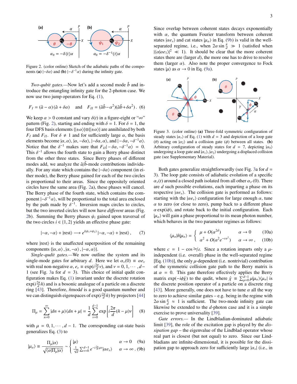

<span id="page-3-0"></span>Figure 2. (color online) Sketch of the adiabatic paths of the components (a)  $|-\delta\alpha\rangle$  and (b)  $|-\delta^{-1}\alpha\rangle$  during the infinity gate.

*Two-qubit gates.—*Now let's add a second mode  $\hat{b}$  and introduce the entangling infinity gate for the 2-photon case. We now use two jump operators for Eq. [\(1\)](#page-2-0),

<span id="page-3-4"></span>
$$
F_I = (\hat{a} - \alpha)(\hat{a} + \delta \alpha)
$$
 and  $F_{II} = (\hat{a}\hat{b} - \alpha^2)(\hat{a}\hat{b} + \delta \alpha^2)$ . (6)

We keep  $\alpha > 0$  constant and vary  $\delta(t)$  in a figure-eight or " $\infty$ " pattern (Fig. [2\)](#page-3-0), starting and ending with  $\delta = 1$ . For  $\delta = 1$ , the four DFS basis elements  $\{|\pm\alpha\rangle\otimes\{|\pm\alpha\rangle\}$  are annihilated by both *F<sub>I</sub>* and *F<sub>II</sub>*. For  $\delta \neq 1$  and for sufficiently large  $\alpha$ , the basis elements become  $|\alpha, \alpha\rangle$ ,  $|\alpha, -\delta\alpha\rangle$ ,  $|-\delta\alpha, \alpha\rangle$ , and  $|-\delta\alpha, -\delta^{-1}\alpha\rangle$ .<br>Notice that the  $\delta^{-1}$  makes sure that  $F_{12} = \delta\alpha, -\delta^{-1}\alpha\rangle = 0$ . Notice that the  $\delta^{-1}$  makes sure that  $F_{II}| - \delta \alpha$ ,  $-\delta^{-1} \alpha$ ) = 0.<br>This  $\delta^{-1}$  allows the fourth state to gain a Berry phase distinct This  $\delta^{-1}$  allows the fourth state to gain a Berry phase distinct from the other three states. Since Berry phases of different from the other three states. Since Berry phases of different modes add, we analyze the  $\hat{a}/\hat{b}$ -mode contributions individually. For any state which contains the  $|-\delta\alpha\rangle$  component (in either mode), the Berry phase gained for each of the two circles is proportional to their areas. Since the oppositely oriented circles have the same area (Fig. [2a](#page-3-0)), these phases will cancel. The Berry phase of the fourth state, which contains the component  $|-\delta^{-1}\alpha\rangle$ , will be proportional to the total area enclosed<br>by the path made by  $\delta^{-1}$  Inversion mans circles to circles by the path made by  $\delta^{-1}$ . Inversion maps circles to circles,<br>but the two inverted circles will now have different areas (Fig. but the two inverted circles will now have *di*ff*erent* areas (Fig. [2b](#page-3-0)). Summing the Berry phases  $\psi_i$  gained upon traversal of the two circles  $i \in \{1, 2\}$  yields an effective phase gate:

$$
|-\alpha,-\alpha\rangle + |rest\rangle \longrightarrow e^{i(\psi_1+\psi_2)} |-\alpha,-\alpha\rangle + |rest\rangle, \qquad (7)
$$

where  $|rest\rangle$  is the unaffected superposition of the remaining components  $\{\vert \alpha, \alpha \rangle, \vert \alpha, -\alpha \rangle, \vert -\alpha, \alpha \rangle\}.$ 

*Single-qudit gates.—*We now outline the system and its single-mode gates for arbitrary *d*. Here we let  $\alpha_v(0) = \alpha e_v$ with real non-negative  $\alpha$ ,  $e_v \equiv \exp(i\frac{2\pi}{d}v)$ , and  $v = 0, 1, \dots, d-1$  (see Fig. 3a for  $d - 3$ ). This choice of initial qudit con-1 (see Fig. [3a](#page-3-1) for *d* = 3). This choice of initial qudit configuration makes Eq. [\(1\)](#page-1-0) invariant under the discrete rotation  $\exp(i\frac{2\pi}{d}\hat{n})$  and is a bosonic analogue of a particle on a discrete ring [\[43\]](#page-5-25). Therefore,  $\hat{n}$ modd is a good quantum number and we can distinguish eigenspaces of  $\exp(i\frac{2\pi}{d}\hat{n})$  by projectors [\[44\]](#page-5-26)

$$
\Pi_{\mu} = \sum_{n=0}^{\infty} |dn + \mu\rangle\langle dn + \mu| = \frac{1}{d} \sum_{\nu=0}^{d-1} \exp\left[i\frac{2\pi}{d}(\hat{n} - \mu)\nu\right] \quad (8)
$$

with  $\mu = 0, 1, \dots, d - 1$ . The corresponding cat-state basis generalizes Eq. [\(3\)](#page-2-1) to

<span id="page-3-2"></span>
$$
|\mu_{\alpha}\rangle \equiv \frac{\Pi_{\mu}|\alpha\rangle}{\sqrt{|\mu_{\alpha}\rangle}} \sim \begin{cases} |\mu\rangle & \alpha \to 0 \quad \text{(9a)}\\ \frac{1}{\sqrt{2}} \nabla^{d-1} e^{-i\frac{2\pi}{\sqrt{2}} |\mu\rangle} |\alpha_{\alpha}\rangle & \alpha \to \infty \quad \text{(9b)} \end{cases}
$$

$$
|\mu_{\alpha}\rangle \equiv \frac{1}{\sqrt{\langle\alpha|\Pi_{\mu}|\alpha\rangle}} \sim \begin{cases} \frac{1}{\sqrt{d}} \sum_{\nu=0}^{d-1} e^{-i\frac{2\pi}{d}\mu\nu} |\alpha e_{\nu}\rangle & \alpha \to \infty \ . \ (9b) \end{cases}
$$

Since overlap between coherent states decays exponentially with  $\alpha$ , the quantum Fourier transform between coherent states  $| \alpha e_{\nu} \rangle$  and cat states  $| \mu_{\alpha} \rangle$  in Eq. [\(9b\)](#page-3-2) is valid in the wellseparated regime, i.e., when  $2\alpha \sin \frac{\pi}{d} \gg 1$  (satisfied when  $|(\alpha|\alpha\alpha)|^2 \ll 1$ ). It should be clear that the more coherent  $|\langle \alpha | \alpha e_1 \rangle|^2 \ll 1$ ). It should be clear that the more coherent states there are (larger *d*), the more one has to drive to resolve them (larger  $\alpha$ ). Also note the proper convergence to Fock states  $|\mu\rangle$  as  $\alpha \rightarrow 0$  in Eq. [\(9a\)](#page-3-2).



<span id="page-3-1"></span>Figure 3. (color online) (a) Three-fold symmetric configuration of steady states  $|\alpha_v\rangle$  of Eq. [\(1\)](#page-2-0) with  $d = 3$  and depiction of a loop gate (θ) acting on  $|\alpha_2\rangle$  and a collision gate (φ) between all states. (**b**) Arbitrary configuration of steady states for  $d = 7$ , depicting  $|\alpha_0\rangle$ undergoing a loop gate and  $|\alpha_1\rangle$ ,  $|\alpha_2\rangle$  undergoing a displaced collision gate (see Supplementary Material).

Both gates generalize straightforwardly (see Fig. [3a](#page-3-1) for *d* = 3). The loop gate consists of adiabatic evolution of a specific  $\alpha_{\nu}(t)$  around a closed path isolated from all other  $\alpha_{\nu}(0)$ . There are *d* such possible evolutions, each imparting a phase on its respective  $| \alpha e_{\nu} \rangle$ . The collision gate is performed as follows: starting with the  $\langle \alpha e_{\nu} \rangle$  configuration for large enough  $\alpha$ , tune  $\alpha$  to zero (or close to zero), pump back to a different phase  $\alpha \exp(i\phi)$ , and rotate back to the initial configuration. Each  $|\mu_{\alpha}\rangle$  will gain a phase proportional to its mean photon number, which behaves in the two parameter regimes as follows:

$$
\langle \mu_{\alpha} | \hat{n} | \mu_{\alpha} \rangle = \begin{cases} \mu + O(\alpha^{2d}) & \alpha \to 0 \quad (10a) \\ \alpha^2 + O(\alpha^2 e^{-c\alpha^2}) & \alpha \to \infty \end{cases}
$$

<span id="page-3-3"></span>where  $c = 1 - \cos \frac{2\pi}{d}$ . Since a rotation imparts only a  $\mu$ independent (i.e. overall) phase in the well-separated regime [Eq.  $(10b)$ ], the only  $\mu$ -dependent (i.e. nontrivial) contribution of the symmetric collision gate path to the Berry matrix is at  $\alpha = 0$ . This gate therefore effectively applies the Berry matrix  $\exp(-i\phi \hat{\chi})$  to the qudit, where  $\hat{\chi} = \sum_{\mu=0}^{d-1} \mu |\mu_{\alpha}\rangle\langle\mu_{\alpha}|$  is<br>the discrete position operator of a particle on a discrete ring the discrete position operator of a particle on a discrete ring [\[43\]](#page-5-25). More generally, one does not have to tune  $\alpha$  all the way to zero to achieve similar gates – e.g. being in the regime with  $2\alpha \sin \frac{\pi}{4} \approx 1$  is sufficient. The two-mode infinity gate can<br>likewise be extended to the d-photon case and it is a simple likewise be extended to the *d*-photon case and it is a simple exercise to prove universality [\[39\]](#page-5-21).

*Gate errors.—* In the Lindbladian-dominated adiabatic limit [\[39\]](#page-5-21), the role of the excitation gap is played by the *dissipation gap* – the eigenvalue of the Lindblad operator whose real part is closest (but not equal) to zero. Since our Lindbladians are infinite-dimensional, it is possible for the dissipation gap to approach zero for sufficiently large  $|\alpha_v|$  (i.e., in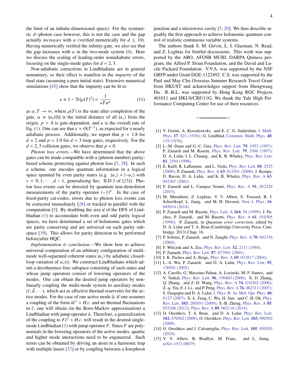the limit of an infinite-dimensional space). For the symmetric *d*−photon case however, this is not the case and the gap actually *increases* with  $\alpha$  (verified numerically for  $d \leq 10$ ). Having numerically verified the infinity-gate, we also see that the gap increases with  $\alpha$  in the two-mode system [\(6\)](#page-3-4). Here we discuss the scaling of leading-order nonadiabatic errors, focusing on the single-mode gates for  $d = 2, 3$ .

Non-adiabatic corrections in Lindbladians are in general nonunitary, so their effect is manifest in the *impurity* of the final state (assuming a pure initial state). Extensive numerical simulations [\[45\]](#page-5-27) show that the impurity can be fit to

$$
\epsilon \equiv 1 - \text{Tr}\{\rho(T)^2\} \propto \frac{1}{\kappa T \alpha^p} \tag{11}
$$

as  $\alpha, T \to \infty$ , where  $\rho(T)$  is the state after completion of the gate,  $\alpha = |\alpha_v(0)|$  is the initial distance of all  $|\alpha_v\rangle$  from the origin,  $p > 0$  is gate-dependent, and  $\kappa$  is the overall rate of Eq. [\(1\)](#page-2-0). One can see that  $\epsilon \approx O(T^{-1})$ , as expected for a nearly adjabatic process Additionally we report that  $n \approx 1.8$  for adiabatic process. Additionally, we report that  $p \approx 1.8$  for  $d = 2$  and  $p \approx 3.9$  for  $d = 3$  loop gates, respectively. For the  $d = 2, 3$  collision gates, we observe that  $p \approx 0$ .

*Photon loss errors.—*We have determined that the above gates can be made compatible with a (photon number) paritybased scheme protecting against photon loss [\[5,](#page-4-4) [28\]](#page-5-10). In such a scheme, one encodes quantum information in a logical space spanned by even parity states (e.g.  $|\alpha_v\rangle + |- \alpha_v\rangle$  with  $v = 0, 1, \dots, d - 1$ , generalizing Sec. II.D.3 of [\[25\]](#page-5-8)). Photon loss events can be detected by quantum non-demolition measurements of the parity operator  $(-1)^{\hat{n}}$ . In the case of fixed-parity cat-codes, errors due to photon loss events can be corrected immediately [\[28\]](#page-5-10) or tracked in parallel with the computation [\[5\]](#page-4-4). By doubling the size *d* of the DFS of Lindbladian [\(1\)](#page-2-0) to accomodate both even and odd parity logical spaces, we have determined a set of holonomic gates which are parity conserving and are universal on each parity subspace [\[39\]](#page-5-21). This allows for parity detection to be performed before/after HQC.

*Implementation* & *conclusion*.—We show how to achieve universal computation of an arbitrary configuration of multimode well-separated coherent states  $|\alpha_{\nu}\rangle$  by adiabatic closedloop variation of  $\alpha_{\nu}(t)$ . We construct Lindbladians which admit a decoherence-free subspace consisting of such states and whose jump operators consist of lowering operators of the modes. One can obtain the desired jump operators by nonlinearly coupling the multi-mode system to auxiliary modes  $(\hat{c}, \hat{d}, \dots)$ , which act as effective thermal reservoirs for the active modes. For the case of one active mode  $\hat{a}$ , if one assumes a coupling of the form  $\hat{a}\hat{c}^{\dagger} + H.c$ , and no thermal fluctuations<br>in  $\hat{c}$ , one will obtain (in the Born-Markov approximation) a in  $\hat{c}$ , one will obtain (in the Born-Markov approximation) a Lindbladian with jump operator  $\hat{a}$ . Therefore, a generalization of the coupling to  $F\hat{c}^{\dagger} + H.c$ , will result in the desired single-<br>mode Lindbladian (1) with jump operator *F*. Since *F* are polymode Lindbladian [\(1\)](#page-2-0) with jump operator *F*. Since *F* are polynomials in the lowering operators of the active modes, quartic and higher mode interactions need to be engineered. Such terms can be obtained by driving an atom in a harmonic trap with multiple lasers [\[37\]](#page-5-18) or by coupling between a Josephson junction and a microwave cavity [\[5,](#page-4-4) [20\]](#page-5-20). We thus describe arguably the first approach to achieve holonomic quantum control of realistic continuous variable systems.

The authors thank S. M. Girvin, L. I. Glazman, N. Read, and Z. Leghtas for fruitful discussions. This work was supported by the ARO, AFOSR MURI, DARPA Quiness program, the Alfred P. Sloan Foundation, and the David and Lucile Packard Foundation. V.V.A. was supported by the NSF GRFP under Grant DGE-1122492. C.S. was supported by the Paul and May Chu Overseas Summer Research Travel Grant from HKUST and acknowledges support from Shengwang Du. R.-B.L. was supported by Hong Kong RGC Projects 401011 and HKU8/CRF/11G. We thank the Yale High Performance Computing Center for use of their resources.

- <span id="page-4-0"></span>[1] V. Gorini, A. Kossakowski, and E. C. G. Sudarshan, [J. Math.](http://dx.doi.org/10.1063/1.522979) Phys. 17[, 821 \(1976\);](http://dx.doi.org/10.1063/1.522979) G. Lindblad, [Commun. Math. Phys.](http://projecteuclid.org/euclid.cmp/1103899849) 48, [119 \(1976\).](http://projecteuclid.org/euclid.cmp/1103899849)
- <span id="page-4-1"></span>[2] L.-M. Duan and G.-C. Guo, [Phys. Rev. Lett.](http://dx.doi.org/10.1103/PhysRevLett.79.1953) 79, 1953 (1997); P. Zanardi and M. Rasetti, [Phys. Rev. Lett.](http://dx.doi.org/10.1103/PhysRevLett.79.3306) 79, 3306 (1997); D. A. Lidar, I. L. Chuang, and K. B. Whaley, [Phys. Rev. Lett.](http://dx.doi.org/10.1103/PhysRevLett.81.2594) 81[, 2594 \(1998\).](http://dx.doi.org/10.1103/PhysRevLett.81.2594)
- <span id="page-4-2"></span>[3] E. Knill, R. Laflamme, and L. Viola, [Phys. Rev. Lett.](http://dx.doi.org/10.1103/PhysRevLett.84.2525) 84, 2525 [\(2000\);](http://dx.doi.org/10.1103/PhysRevLett.84.2525) P. Zanardi, Phys. Rev. A 63[, 012301 \(2000\);](http://dx.doi.org/10.1103/PhysRevA.63.012301) J. Kempe, D. Bacon, D. A. Lidar, and K. B. Whaley, [Phys. Rev. A](http://dx.doi.org/10.1103/PhysRevA.63.042307) 63, [042307 \(2001\).](http://dx.doi.org/10.1103/PhysRevA.63.042307)
- <span id="page-4-3"></span>[4] P. Zanardi and L. Campos Venuti, [Phys. Rev. A](http://dx.doi.org/10.1103/PhysRevA.91.052324) 91, 052324 [\(2015\).](http://dx.doi.org/10.1103/PhysRevA.91.052324)
- <span id="page-4-4"></span>[5] M. Mirrahimi, Z. Leghtas, V. V. Albert, S. Touzard, R. J. Schoelkopf, L. Jiang, and M. H. Devoret, [New J. Phys.](http://arxiv-web3.library.cornell.edu/abs/1312.2017) 16, [045014 \(2014\).](http://arxiv-web3.library.cornell.edu/abs/1312.2017)
- <span id="page-4-5"></span>[6] P. Zanardi and M. Rasetti, [Phys. Lett. A](http://dx.doi.org/10.1016/S0375-9601(99)00803-8) 264, 94 (1999); J. Pachos, P. Zanardi, and M. Rasetti, [Phys. Rev. A](http://dx.doi.org/10.1103/PhysRevA.61.010305) 61, 010305 [\(1999\);](http://dx.doi.org/10.1103/PhysRevA.61.010305) P. Zanardi, in *Quantum error correction*, edited by D. A. Lidar and T. A. Brun (Cambridge University Press, Cambridge, 2013) Chap. 16.
- <span id="page-4-6"></span>[7] P. Solinas, P. Zanardi, and N. Zanghì, [Phys. Rev. A](http://dx.doi.org/10.1103/PhysRevA.70.042316) 70, 042316 [\(2004\).](http://dx.doi.org/10.1103/PhysRevA.70.042316)
- <span id="page-4-7"></span>[8] F. Wilczek and A. Zee, *[Phys. Rev. Lett.](http://dx.doi.org/10.1103/PhysRevLett.52.2111)* **52**, 2111 (1984).
- <span id="page-4-8"></span>[9] P. Zanardi, Phys. Rev. Lett. **87**[, 077901 \(2001\).](http://dx.doi.org/10.1103/PhysRevLett.87.077901)
- <span id="page-4-9"></span>[10] J. K. Pachos and A. Beige, *Phys. Rev. A* **69**[, 033817 \(2004\).](http://dx.doi.org/10.1103/PhysRevA.69.033817)
- <span id="page-4-10"></span>[11] L.-A. Wu, P. Zanardi, and D. A. Lidar, *[Phys. Rev. Lett.](http://dx.doi.org/10.1103/PhysRevLett.95.130501)* 95, [130501 \(2005\).](http://dx.doi.org/10.1103/PhysRevLett.95.130501)
- <span id="page-4-11"></span>[12] A. Carollo, G. Massimo Palma, A. Lozinski, M. F. Santos, and V. Vedral, Phys. Rev. Lett. 96[, 150403 \(2006\);](http://dx.doi.org/10.1103/PhysRevLett.96.150403) X. D. Zhang, Q. Zhang, and Z. D. Wang, Phys. Rev. A 74[, 034302 \(2006\);](http://dx.doi.org/10.1103/PhysRevA.74.034302) Z.-q. Yin, F.-l. Li, and P. Peng, Phys. Rev. A 76[, 062311 \(2007\);](http://dx.doi.org/ 10.1103/PhysRevA.76.062311) S. Dasgupta and D. A. Lidar, [J. Phys. B: At. Mol. Opt. Phys.](http://dx.doi.org/10.1088/0953-4075/40/9/S07) 40, [S127 \(2007\);](http://dx.doi.org/10.1088/0953-4075/40/9/S07) X.-L. Feng, C. Wu, H. Sun, and C. H. Oh, [Phys.](http://dx.doi.org/ 10.1103/PhysRevLett.103.200501) Rev. Lett. 103[, 200501 \(2009\);](http://dx.doi.org/ 10.1103/PhysRevLett.103.200501) S.-B. Zheng, [Phys. Rev. A](http://dx.doi.org/10.1103/PhysRevA.85.052106) 85, [052106 \(2012\);](http://dx.doi.org/10.1103/PhysRevA.85.052106) Phys. Rev. A 89[, 062118 \(2014\).](http://dx.doi.org/10.1103/PhysRevA.89.062118)
- <span id="page-4-12"></span>[13] O. Oreshkov, T. A. Brun, and D. A. Lidar, *[Phys. Rev. Lett.](http://dx.doi.org/10.1103/PhysRevLett.102.070502)* 102[, 070502 \(2009\);](http://dx.doi.org/10.1103/PhysRevLett.102.070502) O. Oreshkov, [Phys. Rev. Lett.](http://dx.doi.org/10.1103/PhysRevLett.103.090502) 103, 090502 [\(2009\).](http://dx.doi.org/10.1103/PhysRevLett.103.090502)
- [14] O. Oreshkov and J. Calsamiglia, [Phys. Rev. Lett.](http://dx.doi.org/10.1103/PhysRevLett.105.050503) **105**, 050503 [\(2010\).](http://dx.doi.org/10.1103/PhysRevLett.105.050503)
- <span id="page-4-13"></span>[15] V. V. Albert, B. Bradlyn, M. Fraas, and L. Jiang, [arXiv:1512.08079.](http://arxiv.org/abs/1512.08079)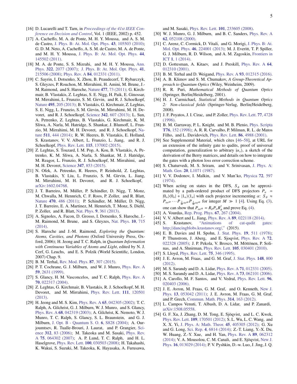- <span id="page-5-0"></span>[16] D. Lucarelli and T. Tarn, in *[Proceedings of the 41st IEEE Con](http://dx.doi.org/10.1109/CDC.2002.1184537)[ference on Decision and Control](http://dx.doi.org/10.1109/CDC.2002.1184537)*, Vol. 1 (IEEE, 2002) p. 452.
- <span id="page-5-1"></span>[17] A. Cacheffo, M. A. de Ponte, M. H. Y. Moussa, and A. S. M. de Castro, [J. Phys. B: At. Mol. Opt. Phys.](http://dx.doi.org/10.1088/0953-4075/43/10/105503) 43, 105503 (2010); G. D. M. Neto, A. Cacheffo, A. S. M. de Castro, M. A. de Ponte, and M. H. Y. Moussa, [J. Phys. B: At. Mol. Opt. Phys.](http://dx.doi.org/10.1088/0953-4075/44/14/145502) 44, [145502 \(2011\).](http://dx.doi.org/10.1088/0953-4075/44/14/145502)
- <span id="page-5-2"></span>[18] M. A. de Ponte, S. S. Mizrahi, and M. H. Y. Moussa, [Ann.](http://dx.doi.org/10.1016/j.aop.2007.03.001) Phys. 322[, 2077 \(2007\);](http://dx.doi.org/10.1016/j.aop.2007.03.001) [J. Phys. B: At. Mol. Opt. Phys.](http://dx.doi.org/10.1088/0953-4075/41/21/215506) 41, [215506 \(2008\);](http://dx.doi.org/10.1088/0953-4075/41/21/215506) Phys. Rev. A 84[, 012331 \(2011\).](http://dx.doi.org/10.1103/PhysRevA.84.012331)
- <span id="page-5-3"></span>[19] C. Sayrin, I. Dotsenko, X. Zhou, B. Peaudecerf, T. Rybarczyk, S. Gleyzes, P. Rouchon, M. Mirrahimi, H. Amini, M. Brune, J.- M. Raimond, and S. Haroche, Nature 477[, 73 \(2011\);](http://dx.doi.org/10.1038/nature10376) G. Kirchmair, B. Vlastakis, Z. Leghtas, S. E. Nigg, H. Paik, E. Ginossar, M. Mirrahimi, L. Frunzio, S. M. Girvin, and R. J. Schoelkopf, Nature 495[, 205 \(2013\);](http://dx.doi.org/10.1038/nature11902) B. Vlastakis, G. Kirchmair, Z. Leghtas, S. E. Nigg, L. Frunzio, S. M. Girvin, M. Mirrahimi, M. H. Devoret, and R. J. Schoelkopf, Science 342[, 607 \(2013\);](http://dx.doi.org/ 10.1126/science.1243289) L. Sun, A. Petrenko, Z. Leghtas, B. Vlastakis, G. Kirchmair, K. M. Sliwa, A. Narla, M. Hatridge, S. Shankar, J. Blumoff, L. Frunzio, M. Mirrahimi, M. H. Devoret, and R. J. Schoelkopf, [Na](http://dx.doi.org/10.1038/nature13436)ture 511[, 444 \(2014\);](http://dx.doi.org/10.1038/nature13436) R. W. Heeres, B. Vlastakis, E. Holland, S. Krastanov, V. V. Albert, L. Frunzio, L. Jiang, and R. J. Schoelkopf, Phys. Rev. Lett. 115[, 137002 \(2015\).](http://dx.doi.org/10.1103/PhysRevLett.115.137002)
- <span id="page-5-20"></span>[20] Z. Leghtas, S. Touzard, I. M. Pop, A. Kou, B. Vlastakis, A. Petrenko, K. M. Sliwa, A. Narla, S. Shankar, M. J. Hatridge, M. Reagor, L. Frunzio, R. J. Schoelkopf, M. Mirrahimi, and M. H. Devoret, Science 347[, 853 \(2015\).](http://dx.doi.org/10.1126/science.aaa2085)
- <span id="page-5-4"></span>[21] N. Ofek, A. Petrenko, R. Heeres, P. Reinhold, Z. Leghtas, B. Vlastakis, Y. Liu, L. Frunzio, S. M. Girvin, L. Jiang, M. Mirrahimi, M. H. Devoret, and R. J. Schoelkopf, [arXiv:1602.04768.](http://arxiv.org/abs/1602.04768)
- <span id="page-5-5"></span>[22] J. T. Barreiro, M. Müller, P. Schindler, D. Nigg, T. Monz, M. Chwalla, M. Hennrich, C. F. Roos, P. Zoller, and R. Blatt, Nature 470[, 486 \(2011\);](http://dx.doi.org/10.1038/nature09801) P. Schindler, M. Müller, D. Nigg, J. T. Barreiro, E. A. Martinez, M. Hennrich, T. Monz, S. Diehl, P. Zoller, and R. Blatt, Nat. Phys. 9[, 361 \(2013\).](http://dx.doi.org/10.1038/nphys2630)
- <span id="page-5-6"></span>[23] A. Signoles, A. Facon, D. Grosso, I. Dotsenko, S. Haroche, J.- M. Raimond, M. Brune, and S. Gleyzes, [Nat. Phys.](http://dx.doi.org/10.1038/nphys3076) 10, 715 [\(2014\).](http://dx.doi.org/10.1038/nphys3076)
- <span id="page-5-7"></span>[24] S. Haroche and J.-M. Raimond, *Exploring the Quantum: Atoms, Cavities, and Photons* (Oxford University Press, Oxford, 2006); H. Jeong and T. C. Ralph, in *Quantum Information with Continuous Variables of Atoms and Light*, edited by N. J. Cerf, G. Leuchs, and E. S. Polzik (World Scientific, London, 2007) Chap. 9.
- <span id="page-5-8"></span>[25] B. M. Terhal, [Rev. Mod. Phys.](http://dx.doi.org/10.1103/RevModPhys.87.307) 87, 307 (2015).
- <span id="page-5-9"></span>[26] P. T. Cochrane, G. J. Milburn, and W. J. Munro, [Phys. Rev. A](http://dx.doi.org/10.1103/PhysRevA.59.2631) 59[, 2631 \(1999\).](http://dx.doi.org/10.1103/PhysRevA.59.2631)
- [27] S. Glancy, H. M. Vasconcelos, and T. C. Ralph, [Phys. Rev. A](http://dx.doi.org/10.1103/PhysRevA.70.022317) 70[, 022317 \(2004\).](http://dx.doi.org/10.1103/PhysRevA.70.022317)
- <span id="page-5-10"></span>[28] Z. Leghtas, G. Kirchmair, B. Vlastakis, R. J. Schoelkopf, M. H. Devoret, and M. Mirrahimi, [Phys. Rev. Lett.](http://dx.doi.org/ 10.1103/PhysRevLett.111.120501) 111, 120501 [\(2013\).](http://dx.doi.org/ 10.1103/PhysRevLett.111.120501)
- <span id="page-5-11"></span>[29] H. Jeong and M. S. Kim, Phys. Rev. A 65[, 042305 \(2002\);](http://dx.doi.org/10.1103/PhysRevA.65.042305) T. C. Ralph, A. Gilchrist, G. J. Milburn, W. J. Munro, and S. Glancy, Phys. Rev. A 68[, 042319 \(2003\);](http://dx.doi.org/ 10.1103/PhysRevA.68.042319) A. Gilchrist, K. Nemoto, W. J. Munro, T. C. Ralph, S. Glancy, S. L. Braunstein, and G. J. Milburn, [J. Opt. B - Quantum S. O.](http://dx.doi.org/ 10.1088/1464-4266/6/8/032) 6, S828 (2004); A. Ourjoumtsev, R. Tualle-Brouri, J. Laurat, and P. Grangier, [Sci](http://dx.doi.org/10.1126/science.1122858)ence 312[, 83 \(2006\);](http://dx.doi.org/10.1126/science.1122858) M. Takeoka and M. Sasaki, [Phys. Rev.](http://dx.doi.org/10.1103/PhysRevA.75.064302) A 75[, 064302 \(2007\);](http://dx.doi.org/10.1103/PhysRevA.75.064302) A. P. Lund, T. C. Ralph, and H. L. Haselgrove, Phys. Rev. Lett. 100[, 030503 \(2008\);](http://dx.doi.org/10.1103/PhysRevLett.100.030503) H. Takahashi, K. Wakui, S. Suzuki, M. Takeoka, K. Hayasaka, A. Furusawa,

and M. Sasaki, Phys. Rev. Lett. 101[, 233605 \(2008\).](http://dx.doi.org/ 10.1103/PhysRevLett.101.233605)

- [30] W. J. Munro, G. J. Milburn, and B. C. Sanders, [Phys. Rev. A](http://dx.doi.org/10.1103/PhysRevA.62.052108) 62[, 052108 \(2000\).](http://dx.doi.org/10.1103/PhysRevA.62.052108)
- <span id="page-5-12"></span>[31] C. Arenz, C. Cormick, D. Vitali, and G. Morigi, [J. Phys. B: At.](http://dx.doi.org/ 10.1088/0953-4075/46/22/224001) Mol. Opt. Phys. 46[, 224001 \(2013\);](http://dx.doi.org/ 10.1088/0953-4075/46/22/224001) M. J. Everitt, T. P. Spiller, G. J. Milburn, R. D. Wilson, and A. M. Zagoskin, [Frontiers in](http://dx.doi.org/10.3389/fict.2014.00001) ICT 1[, 1 \(2014\).](http://dx.doi.org/10.3389/fict.2014.00001)
- <span id="page-5-13"></span>[32] D. Gottesman, A. Kitaev, and J. Preskill, [Phys. Rev. A](http://dx.doi.org/10.1103/PhysRevA.64.012310) 64, [012310 \(2001\).](http://dx.doi.org/10.1103/PhysRevA.64.012310)
- <span id="page-5-14"></span>[33] B. M. Terhal and D. Weigand, Phys. Rev. A 93[, 012315 \(2016\).](http://dx.doi.org/10.1103/PhysRevA.93.012315)
- <span id="page-5-15"></span>[34] A. B. Klimov and S. M. Chumakov, *A Group-Theoretical Approach to Quantum Optics* (Wiley, Weinheim, 2009).
- <span id="page-5-16"></span>[35] R. R. Puri, *Mathematical Methods of Quantum Optics* (Springer, Berlin/Heidelberg, 2001).
- <span id="page-5-17"></span>[36] H. J. Carmichael, *Statistical Methods in Quantum Optics 2: Non-classical fields* (Springer-Verlag, Berlin/Heidelberg, 2008).
- <span id="page-5-18"></span>[37] J. F. Poyatos, J. I. Cirac, and P. Zoller, [Phys. Rev. Lett.](http://dx.doi.org/10.1103/PhysRevLett.77.4728) 77, 4728 [\(1996\).](http://dx.doi.org/10.1103/PhysRevLett.77.4728)
- <span id="page-5-19"></span>[38] B. M. Garraway, P. L. Knight, and M. B. Plenio, [Phys. Scripta](http://dx.doi.org/10.1238/Physica.Topical.076a00152) T76[, 152 \(1998\);](http://dx.doi.org/10.1238/Physica.Topical.076a00152) A. R. R. Carvalho, P. Milman, R. L. de Matos Filho, and L. Davidovich, [Phys. Rev. Lett.](http://dx.doi.org/10.1103/PhysRevLett.86.4988) 86, 4988 (2001).
- <span id="page-5-21"></span>[39] See Supplemental Material, which cites [\[46–](#page-5-28)[58\]](#page-6-0), at URL for an extension of the infinity gate to qudits, proof of universal computation, generalization to arbitrary  $|\alpha_v\rangle$ , a sketch of the derivation of the Berry matrices, and details on how to integrate the gates with a photon loss error correction scheme.
- <span id="page-5-22"></span>[40] S. Chaturvedi, M. S. Sriram, and V. Srinivasan, [J. Phys. A:](http://dx.doi.org/10.1088/0305-4470/20/16/007) Math. Gen. 20[, L1071 \(1987\).](http://dx.doi.org/10.1088/0305-4470/20/16/007)
- <span id="page-5-23"></span>[41] V. V. Dodonov, I. Malkin, and V. Man'ko, [Physica](http://dx.doi.org/10.1016/0031-8914(74)90215-8) 72, 597 [\(1974\).](http://dx.doi.org/10.1016/0031-8914(74)90215-8)
- <span id="page-5-24"></span>[42] When acting on states in the DFS,  $S_{\phi}$  can be approximated by a path-ordered product of DFS projectors  $P_\alpha$  =  $|0_{\alpha}\rangle\langle0_{\alpha}| + |1_{\alpha}\rangle\langle1_{\alpha}|$  with each projector incrementing  $\alpha$ :  $S_{\phi} \approx$  $P_{\alpha e^{i\phi}} \cdots P_{\frac{\gamma}{M} \alpha e^{i\phi}} P_{\frac{1}{M} \alpha e^{i\phi}}$  for integer  $M \gg 1$  [\[4\]](#page-4-3). Using Eq. [\(3\)](#page-2-1), one can show that  $P_{\alpha e^{i\phi}} = R_{\phi} P_{\alpha} R_{\phi}^{\dagger}$  and prove Eq. [\(4\)](#page-2-2).
- <span id="page-5-25"></span>[43] A. Vourdas, [Rep. Prog. Phys.](http://dx.doi.org/10.1088/0034-4885/67/3/R03) 67, 267 (2004).
- <span id="page-5-26"></span>[44] V. V. Albert and L. Jiang, *Phys. Rev. A* **89**[, 022118 \(2014\).](http://dx.doi.org/10.1103/PhysRevA.89.022118)
- <span id="page-5-27"></span>[45] S. Krastanov, ["Animations of cat-qudit gates:](http://dancingblobs.krastanov.org/) http://[dancingblobs.krastanov.org](http://dancingblobs.krastanov.org/)/," (2015).
- <span id="page-5-28"></span>[46] E. B. Davies and H. Spohn, [J. Stat. Phys.](http://dx.doi.org/10.1007/BF01011696) 19, 511 (1978); P. Thunstrom, J. Aberg, and E. Sjoqvist, [Phys. Rev. A](http://dx.doi.org/10.1103/PhysRevA.72.022328) 72, [022328 \(2005\);](http://dx.doi.org/10.1103/PhysRevA.72.022328) J. P. Pekola, V. Brosco, M. Möttönen, P. Solinas, and A. Shnirman, Phys. Rev. Lett. 105[, 030401 \(2010\).](http://dx.doi.org/10.1103/PhysRevLett.105.030401)
- [47] S. Lloyd, [Phys. Rev. Lett.](http://dx.doi.org/10.1103/PhysRevLett.75.346) **75**, 346 (1995).
- [48] J. E. Avron, M. Fraas, and G. M. Graf, [J. Stat. Phys.](http://dx.doi.org/10.1007/s10955-012-0550-6) 148, 800 [\(2012\).](http://dx.doi.org/10.1007/s10955-012-0550-6)
- [49] M. S. Sarandy and D. A. Lidar, *Phys. Rev. A* **71**[, 012331 \(2005\).](http://dx.doi.org/10.1103/PhysRevA.71.012331)
- [50] M. S. Sarandy and D. A. Lidar, *Phys. Rev. A* **73**[, 062101 \(2006\).](http://dx.doi.org/10.1103/PhysRevA.73.062101)
- [51] A. Carollo, M. F. Santos, and V. Vedral, [Phys. Rev. Lett.](http://dx.doi.org/10.1103/PhysRevLett.96.020403) 96, [020403 \(2006\).](http://dx.doi.org/10.1103/PhysRevLett.96.020403)
- [52] J. E. Avron, M. Fraas, G. M. Graf, and O. Kenneth, [New J.](http://dx.doi.org/10.1088/1367-2630/13/5/053042) Phys. 13[, 053042 \(2011\);](http://dx.doi.org/10.1088/1367-2630/13/5/053042) J. E. Avron, M. Fraas, G. M. Graf, and P. Grech, [Commun. Math. Phys.](http://dx.doi.org/10.1007/s00220-012-1504-1) 314, 163 (2012).
- [53] L. Campos Venuti, T. Albash, D. A. Lidar, and P. Zanardi, [arXiv:1508.05558.](http://arxiv.org/abs/1508.05558)
- [54] G. F. Xu, J. Zhang, D. M. Tong, E. Sjöqvist, and L. C. Kwek, Phys. Rev. Lett. 109[, 170501 \(2012\);](http://dx.doi.org/ 10.1103/PhysRevLett.109.170501) S. L. Wu, L. C. Wang, and X. X. Yi, [J. Phys. A: Math. Theor.](http://dx.doi.org/10.1088/1751-8113/45/40/405305) 45, 405305 (2012); G. Xu and G. Long, Sci. Rep. 4[, 6814 \(2014\);](http://dx.doi.org/10.1038/srep06814) Z.-T. Liang, Y.-X. Du, W. Huang, Z.-Y. Xue, and H. Yan, [Phys. Rev. A](http://dx.doi.org/ 10.1103/PhysRevA.89.062312) 89, 062312 [\(2014\);](http://dx.doi.org/ 10.1103/PhysRevA.89.062312) V. A. Mousolou, C. M. Canali, and E. Sjöqvist, [New J.](http://dx.doi.org/10.1088/1367-2630/16/1/013029) Phys. 16[, 013029 \(2014\);](http://dx.doi.org/10.1088/1367-2630/16/1/013029) P. V. Pyshkin, D.-w. Luo, J. Jing, J. Q.